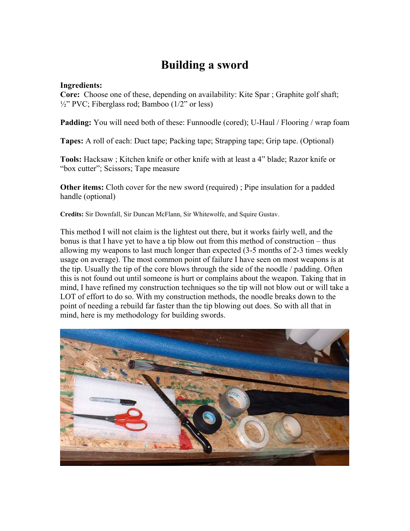# **Building a sword**

#### **Ingredients:**

**Core:** Choose one of these, depending on availability: Kite Spar ; Graphite golf shaft;  $\frac{1}{2}$ " PVC; Fiberglass rod; Bamboo (1/2" or less)

**Padding:** You will need both of these: Funnoodle (cored); U-Haul / Flooring / wrap foam

**Tapes:** A roll of each: Duct tape; Packing tape; Strapping tape; Grip tape. (Optional)

**Tools:** Hacksaw ; Kitchen knife or other knife with at least a 4" blade; Razor knife or "box cutter"; Scissors; Tape measure

**Other items:** Cloth cover for the new sword (required); Pipe insulation for a padded handle (optional)

**Credits:** Sir Downfall, Sir Duncan McFlann, Sir Whitewolfe, and Squire Gustav.

This method I will not claim is the lightest out there, but it works fairly well, and the bonus is that I have yet to have a tip blow out from this method of construction – thus allowing my weapons to last much longer than expected (3-5 months of 2-3 times weekly usage on average). The most common point of failure I have seen on most weapons is at the tip. Usually the tip of the core blows through the side of the noodle / padding. Often this is not found out until someone is hurt or complains about the weapon. Taking that in mind, I have refined my construction techniques so the tip will not blow out or will take a LOT of effort to do so. With my construction methods, the noodle breaks down to the point of needing a rebuild far faster than the tip blowing out does. So with all that in mind, here is my methodology for building swords.

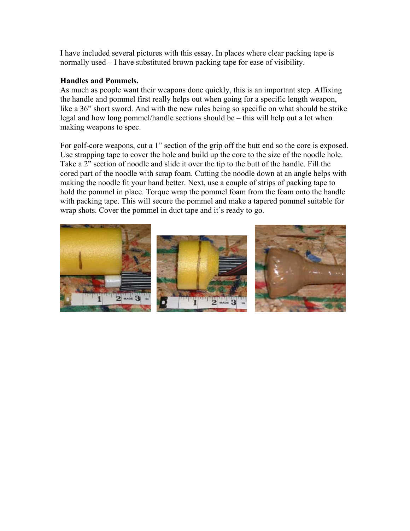I have included several pictures with this essay. In places where clear packing tape is normally used – I have substituted brown packing tape for ease of visibility.

#### **Handles and Pommels.**

As much as people want their weapons done quickly, this is an important step. Affixing the handle and pommel first really helps out when going for a specific length weapon, like a 36" short sword. And with the new rules being so specific on what should be strike legal and how long pommel/handle sections should be – this will help out a lot when making weapons to spec.

For golf-core weapons, cut a 1" section of the grip off the butt end so the core is exposed. Use strapping tape to cover the hole and build up the core to the size of the noodle hole. Take a 2" section of noodle and slide it over the tip to the butt of the handle. Fill the cored part of the noodle with scrap foam. Cutting the noodle down at an angle helps with making the noodle fit your hand better. Next, use a couple of strips of packing tape to hold the pommel in place. Torque wrap the pommel foam from the foam onto the handle with packing tape. This will secure the pommel and make a tapered pommel suitable for wrap shots. Cover the pommel in duct tape and it's ready to go.





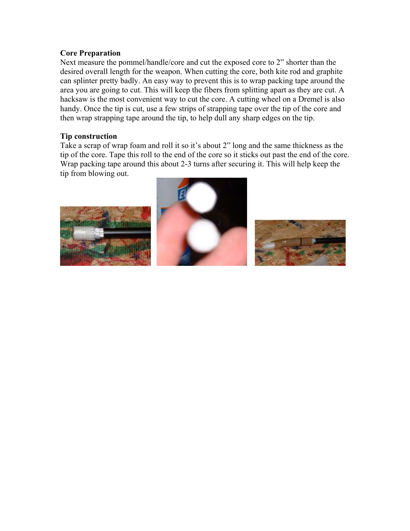# **Core Preparation**

Next measure the pommel/handle/core and cut the exposed core to 2" shorter than the desired overall length for the weapon. When cutting the core, both kite rod and graphite can splinter pretty badly. An easy way to prevent this is to wrap packing tape around the area you are going to cut. This will keep the fibers from splitting apart as they are cut. A hacksaw is the most convenient way to cut the core. A cutting wheel on a Dremel is also handy. Once the tip is cut, use a few strips of strapping tape over the tip of the core and then wrap strapping tape around the tip, to help dull any sharp edges on the tip.

## **Tip construction**

Take a scrap of wrap foam and roll it so it's about 2" long and the same thickness as the tip of the core. Tape this roll to the end of the core so it sticks out past the end of the core. Wrap packing tape around this about 2-3 turns after securing it. This will help keep the tip from blowing out.





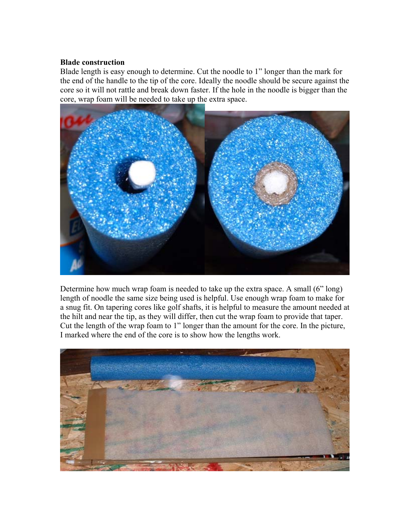# **Blade construction**

Blade length is easy enough to determine. Cut the noodle to 1" longer than the mark for the end of the handle to the tip of the core. Ideally the noodle should be secure against the core so it will not rattle and break down faster. If the hole in the noodle is bigger than the core, wrap foam will be needed to take up the extra space.



Determine how much wrap foam is needed to take up the extra space. A small (6" long) length of noodle the same size being used is helpful. Use enough wrap foam to make for a snug fit. On tapering cores like golf shafts, it is helpful to measure the amount needed at the hilt and near the tip, as they will differ, then cut the wrap foam to provide that taper. Cut the length of the wrap foam to 1" longer than the amount for the core. In the picture, I marked where the end of the core is to show how the lengths work.

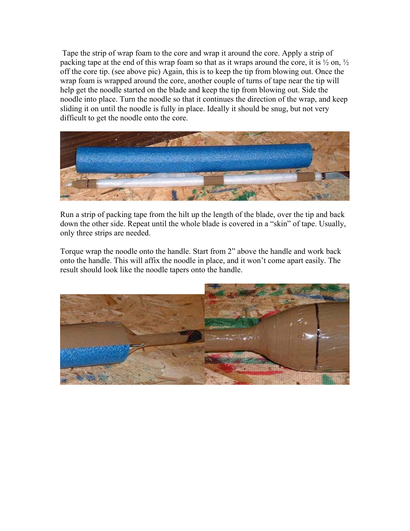Tape the strip of wrap foam to the core and wrap it around the core. Apply a strip of packing tape at the end of this wrap foam so that as it wraps around the core, it is  $\frac{1}{2}$  on,  $\frac{1}{2}$ off the core tip. (see above pic) Again, this is to keep the tip from blowing out. Once the wrap foam is wrapped around the core, another couple of turns of tape near the tip will help get the noodle started on the blade and keep the tip from blowing out. Side the noodle into place. Turn the noodle so that it continues the direction of the wrap, and keep sliding it on until the noodle is fully in place. Ideally it should be snug, but not very difficult to get the noodle onto the core.



Run a strip of packing tape from the hilt up the length of the blade, over the tip and back down the other side. Repeat until the whole blade is covered in a "skin" of tape. Usually, only three strips are needed.

Torque wrap the noodle onto the handle. Start from 2" above the handle and work back onto the handle. This will affix the noodle in place, and it won't come apart easily. The result should look like the noodle tapers onto the handle.

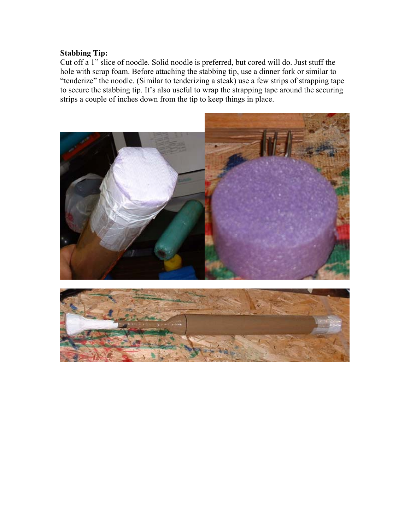# **Stabbing Tip:**

Cut off a 1" slice of noodle. Solid noodle is preferred, but cored will do. Just stuff the hole with scrap foam. Before attaching the stabbing tip, use a dinner fork or similar to "tenderize" the noodle. (Similar to tenderizing a steak) use a few strips of strapping tape to secure the stabbing tip. It's also useful to wrap the strapping tape around the securing strips a couple of inches down from the tip to keep things in place.